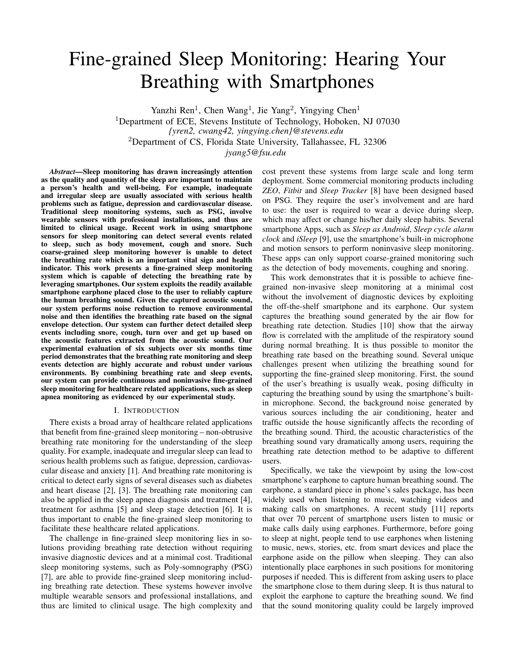# Fine-grained Sleep Monitoring: Hearing Your Breathing with Smartphones

Yanzhi Ren<sup>1</sup>, Chen Wang<sup>1</sup>, Jie Yang<sup>2</sup>, Yingying Chen<sup>1</sup> <sup>1</sup>Department of ECE, Stevens Institute of Technology, Hoboken, NJ 07030 *{yren2, cwang42, yingying.chen}@stevens.edu* <sup>2</sup>Department of CS, Florida State University, Tallahassee, FL 32306 *jyang5@fsu.edu*

*Abstract***—Sleep monitoring has drawn increasingly attention as the quality and quantity of the sleep are important to maintain a person's health and well-being. For example, inadequate and irregular sleep are usually associated with serious health problems such as fatigue, depression and cardiovascular disease. Traditional sleep monitoring systems, such as PSG, involve wearable sensors with professional installations, and thus are limited to clinical usage. Recent work in using smartphone sensors for sleep monitoring can detect several events related to sleep, such as body movement, cough and snore. Such coarse-grained sleep monitoring however is unable to detect the breathing rate which is an important vital sign and health indicator. This work presents a fine-grained sleep monitoring system which is capable of detecting the breathing rate by leveraging smartphones. Our system exploits the readily available smartphone earphone placed close to the user to reliably capture the human breathing sound. Given the captured acoustic sound, our system performs noise reduction to remove environmental noise and then identifies the breathing rate based on the signal envelope detection. Our system can further detect detailed sleep events including snore, cough, turn over and get up based on the acoustic features extracted from the acoustic sound. Our experimental evaluation of six subjects over six months time period demonstrates that the breathing rate monitoring and sleep events detection are highly accurate and robust under various environments. By combining breathing rate and sleep events, our system can provide continuous and noninvasive fine-grained sleep monitoring for healthcare related applications, such as sleep apnea monitoring as evidenced by our experimental study.**

#### I. INTRODUCTION

There exists a broad array of healthcare related applications that benefit from fine-grained sleep monitoring – non-obtrusive breathing rate monitoring for the understanding of the sleep quality. For example, inadequate and irregular sleep can lead to serious health problems such as fatigue, depression, cardiovascular disease and anxiety [1]. And breathing rate monitoring is critical to detect early signs of several diseases such as diabetes and heart disease [2], [3]. The breathing rate monitoring can also be applied in the sleep apnea diagnosis and treatment [4], treatment for asthma [5] and sleep stage detection [6]. It is thus important to enable the fine-grained sleep monitoring to facilitate these healthcare related applications.

The challenge in fine-grained sleep monitoring lies in solutions providing breathing rate detection without requiring invasive diagnostic devices and at a minimal cost. Traditional sleep monitoring systems, such as Poly-somnography (PSG) [7], are able to provide fine-grained sleep monitoring including breathing rate detection. These systems however involve multiple wearable sensors and professional installations, and thus are limited to clinical usage. The high complexity and

cost prevent these systems from large scale and long term deployment. Some commercial monitoring products including *ZEO*, *Fitbit* and *Sleep Tracker* [8] have been designed based on PSG. They require the user's involvement and are hard to use: the user is required to wear a device during sleep, which may affect or change his/her daily sleep habits. Several smartphone Apps, such as *Sleep as Android*, *Sleep cycle alarm clock* and *iSleep* [9], use the smartphone's built-in microphone and motion sensors to perform noninvasive sleep monitoring. These apps can only support coarse-grained monitoring such as the detection of body movements, coughing and snoring.

This work demonstrates that it is possible to achieve finegrained non-invasive sleep monitoring at a minimal cost without the involvement of diagnostic devices by exploiting the off-the-shelf smartphone and its earphone. Our system captures the breathing sound generated by the air flow for breathing rate detection. Studies [10] show that the airway flow is correlated with the amplitude of the respiratory sound during normal breathing. It is thus possible to monitor the breathing rate based on the breathing sound. Several unique challenges present when utilizing the breathing sound for supporting the fine-grained sleep monitoring. First, the sound of the user's breathing is usually weak, posing difficulty in capturing the breathing sound by using the smartphone's builtin microphone. Second, the background noise generated by various sources including the air conditioning, heater and traffic outside the house significantly affects the recording of the breathing sound. Third, the acoustic characteristics of the breathing sound vary dramatically among users, requiring the breathing rate detection method to be adaptive to different users.

Specifically, we take the viewpoint by using the low-cost smartphone's earphone to capture human breathing sound. The earphone, a standard piece in phone's sales package, has been widely used when listening to music, watching videos and making calls on smartphones. A recent study [11] reports that over 70 percent of smartphone users listen to music or make calls daily using earphones. Furthermore, before going to sleep at night, people tend to use earphones when listening to music, news, stories, etc. from smart devices and place the earphone aside on the pillow when sleeping. They can also intentionally place earphones in such positions for monitoring purposes if needed. This is different from asking users to place the smartphone close to them during sleep. It is thus natural to exploit the earphone to capture the breathing sound. We find that the sound monitoring quality could be largely improved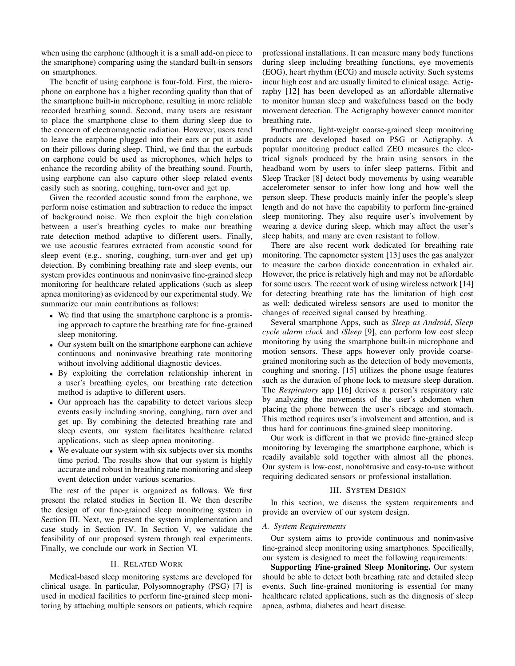when using the earphone (although it is a small add-on piece to the smartphone) comparing using the standard built-in sensors on smartphones.

The benefit of using earphone is four-fold. First, the microphone on earphone has a higher recording quality than that of the smartphone built-in microphone, resulting in more reliable recorded breathing sound. Second, many users are resistant to place the smartphone close to them during sleep due to the concern of electromagnetic radiation. However, users tend to leave the earphone plugged into their ears or put it aside on their pillows during sleep. Third, we find that the earbuds on earphone could be used as microphones, which helps to enhance the recording ability of the breathing sound. Fourth, using earphone can also capture other sleep related events easily such as snoring, coughing, turn-over and get up.

Given the recorded acoustic sound from the earphone, we perform noise estimation and subtraction to reduce the impact of background noise. We then exploit the high correlation between a user's breathing cycles to make our breathing rate detection method adaptive to different users. Finally, we use acoustic features extracted from acoustic sound for sleep event (e.g., snoring, coughing, turn-over and get up) detection. By combining breathing rate and sleep events, our system provides continuous and noninvasive fine-grained sleep monitoring for healthcare related applications (such as sleep apnea monitoring) as evidenced by our experimental study. We summarize our main contributions as follows:

- We find that using the smartphone earphone is a promising approach to capture the breathing rate for fine-grained sleep monitoring.
- Our system built on the smartphone earphone can achieve continuous and noninvasive breathing rate monitoring without involving additional diagnostic devices.
- By exploiting the correlation relationship inherent in a user's breathing cycles, our breathing rate detection method is adaptive to different users.
- Our approach has the capability to detect various sleep events easily including snoring, coughing, turn over and get up. By combining the detected breathing rate and sleep events, our system facilitates healthcare related applications, such as sleep apnea monitoring.
- We evaluate our system with six subjects over six months time period. The results show that our system is highly accurate and robust in breathing rate monitoring and sleep event detection under various scenarios.

The rest of the paper is organized as follows. We first present the related studies in Section II. We then describe the design of our fine-grained sleep monitoring system in Section III. Next, we present the system implementation and case study in Section IV. In Section V, we validate the feasibility of our proposed system through real experiments. Finally, we conclude our work in Section VI.

### II. RELATED WORK

Medical-based sleep monitoring systems are developed for clinical usage. In particular, Polysomnography (PSG) [7] is used in medical facilities to perform fine-grained sleep monitoring by attaching multiple sensors on patients, which require

professional installations. It can measure many body functions during sleep including breathing functions, eye movements (EOG), heart rhythm (ECG) and muscle activity. Such systems incur high cost and are usually limited to clinical usage. Actigraphy [12] has been developed as an affordable alternative to monitor human sleep and wakefulness based on the body movement detection. The Actigraphy however cannot monitor breathing rate.

Furthermore, light-weight coarse-grained sleep monitoring products are developed based on PSG or Actigraphy. A popular monitoring product called ZEO measures the electrical signals produced by the brain using sensors in the headband worn by users to infer sleep patterns. Fitbit and Sleep Tracker [8] detect body movements by using wearable accelerometer sensor to infer how long and how well the person sleep. These products mainly infer the people's sleep length and do not have the capability to perform fine-grained sleep monitoring. They also require user's involvement by wearing a device during sleep, which may affect the user's sleep habits, and many are even resistant to follow.

There are also recent work dedicated for breathing rate monitoring. The capnometer system [13] uses the gas analyzer to measure the carbon dioxide concentration in exhaled air. However, the price is relatively high and may not be affordable for some users. The recent work of using wireless network [14] for detecting breathing rate has the limitation of high cost as well: dedicated wireless sensors are used to monitor the changes of received signal caused by breathing.

Several smartphone Apps, such as *Sleep as Android*, *Sleep cycle alarm clock* and *iSleep* [9], can perform low cost sleep monitoring by using the smartphone built-in microphone and motion sensors. These apps however only provide coarsegrained monitoring such as the detection of body movements, coughing and snoring. [15] utilizes the phone usage features such as the duration of phone lock to measure sleep duration. The *Respiratory* app [16] derives a person's respiratory rate by analyzing the movements of the user's abdomen when placing the phone between the user's ribcage and stomach. This method requires user's involvement and attention, and is thus hard for continuous fine-grained sleep monitoring.

Our work is different in that we provide fine-grained sleep monitoring by leveraging the smartphone earphone, which is readily available sold together with almost all the phones. Our system is low-cost, nonobtrusive and easy-to-use without requiring dedicated sensors or professional installation.

# III. SYSTEM DESIGN

In this section, we discuss the system requirements and provide an overview of our system design.

# *A. System Requirements*

Our system aims to provide continuous and noninvasive fine-grained sleep monitoring using smartphones. Specifically, our system is designed to meet the following requirements:

**Supporting Fine-grained Sleep Monitoring.** Our system should be able to detect both breathing rate and detailed sleep events. Such fine-grained monitoring is essential for many healthcare related applications, such as the diagnosis of sleep apnea, asthma, diabetes and heart disease.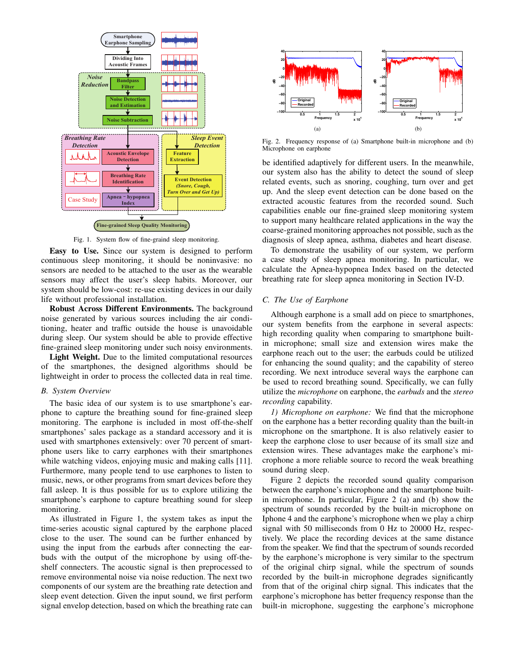

Fig. 1. System flow of fine-graind sleep monitoring.

**Easy to Use.** Since our system is designed to perform continuous sleep monitoring, it should be noninvasive: no sensors are needed to be attached to the user as the wearable sensors may affect the user's sleep habits. Moreover, our system should be low-cost: re-use existing devices in our daily life without professional installation.

**Robust Across Different Environments.** The background noise generated by various sources including the air conditioning, heater and traffic outside the house is unavoidable during sleep. Our system should be able to provide effective fine-grained sleep monitoring under such noisy environments.

**Light Weight.** Due to the limited computational resources of the smartphones, the designed algorithms should be lightweight in order to process the collected data in real time.

#### *B. System Overview*

The basic idea of our system is to use smartphone's earphone to capture the breathing sound for fine-grained sleep monitoring. The earphone is included in most off-the-shelf smartphones' sales package as a standard accessory and it is used with smartphones extensively: over 70 percent of smartphone users like to carry earphones with their smartphones while watching videos, enjoying music and making calls [11]. Furthermore, many people tend to use earphones to listen to music, news, or other programs from smart devices before they fall asleep. It is thus possible for us to explore utilizing the smartphone's earphone to capture breathing sound for sleep monitoring.

As illustrated in Figure 1, the system takes as input the time-series acoustic signal captured by the earphone placed close to the user. The sound can be further enhanced by using the input from the earbuds after connecting the earbuds with the output of the microphone by using off-theshelf connecters. The acoustic signal is then preprocessed to remove environmental noise via noise reduction. The next two components of our system are the breathing rate detection and sleep event detection. Given the input sound, we first perform signal envelop detection, based on which the breathing rate can



Fig. 2. Frequency response of (a) Smartphone built-in microphone and (b) Microphone on earphone

be identified adaptively for different users. In the meanwhile, our system also has the ability to detect the sound of sleep related events, such as snoring, coughing, turn over and get up. And the sleep event detection can be done based on the extracted acoustic features from the recorded sound. Such capabilities enable our fine-grained sleep monitoring system to support many healthcare related applications in the way the coarse-grained monitoring approaches not possible, such as the diagnosis of sleep apnea, asthma, diabetes and heart disease.

To demonstrate the usability of our system, we perform a case study of sleep apnea monitoring. In particular, we calculate the Apnea-hypopnea Index based on the detected breathing rate for sleep apnea monitoring in Section IV-D.

### *C. The Use of Earphone*

Although earphone is a small add on piece to smartphones, our system benefits from the earphone in several aspects: high recording quality when comparing to smartphone builtin microphone; small size and extension wires make the earphone reach out to the user; the earbuds could be utilized for enhancing the sound quality; and the capability of stereo recording. We next introduce several ways the earphone can be used to record breathing sound. Specifically, we can fully utilize the *microphone* on earphone, the *earbuds* and the *stereo recording* capability.

*1) Microphone on earphone:* We find that the microphone on the earphone has a better recording quality than the built-in microphone on the smartphone. It is also relatively easier to keep the earphone close to user because of its small size and extension wires. These advantages make the earphone's microphone a more reliable source to record the weak breathing sound during sleep.

Figure 2 depicts the recorded sound quality comparison between the earphone's microphone and the smartphone builtin microphone. In particular, Figure 2 (a) and (b) show the spectrum of sounds recorded by the built-in microphone on Iphone 4 and the earphone's microphone when we play a chirp signal with 50 milliseconds from 0 Hz to 20000 Hz, respectively. We place the recording devices at the same distance from the speaker. We find that the spectrum of sounds recorded by the earphone's microphone is very similar to the spectrum of the original chirp signal, while the spectrum of sounds recorded by the built-in microphone degrades significantly from that of the original chirp signal. This indicates that the earphone's microphone has better frequency response than the built-in microphone, suggesting the earphone's microphone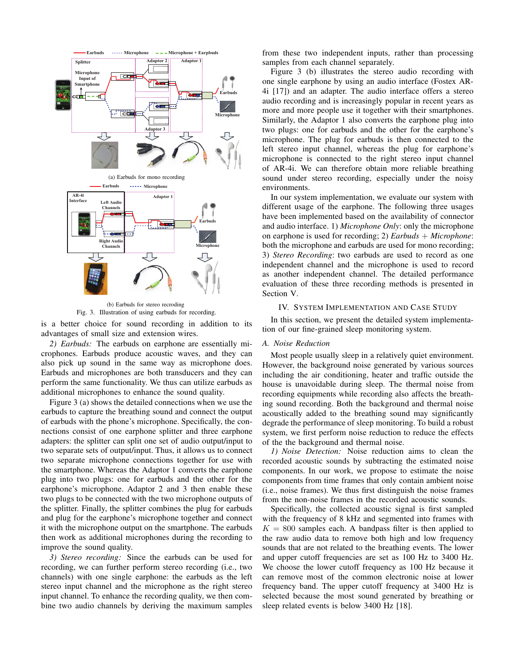

(b) Earbuds for stereo recroding Fig. 3. Illustration of using earbuds for recording.

is a better choice for sound recording in addition to its advantages of small size and extension wires.

*2) Earbuds:* The earbuds on earphone are essentially microphones. Earbuds produce acoustic waves, and they can also pick up sound in the same way as microphone does. Earbuds and microphones are both transducers and they can perform the same functionality. We thus can utilize earbuds as additional microphones to enhance the sound quality.

Figure 3 (a) shows the detailed connections when we use the earbuds to capture the breathing sound and connect the output of earbuds with the phone's microphone. Specifically, the connections consist of one earphone splitter and three earphone adapters: the splitter can split one set of audio output/input to two separate sets of output/input. Thus, it allows us to connect two separate microphone connections together for use with the smartphone. Whereas the Adaptor 1 converts the earphone plug into two plugs: one for earbuds and the other for the earphone's microphone. Adaptor 2 and 3 then enable these two plugs to be connected with the two microphone outputs of the splitter. Finally, the splitter combines the plug for earbuds and plug for the earphone's microphone together and connect it with the microphone output on the smartphone. The earbuds then work as additional microphones during the recording to improve the sound quality.

*3) Stereo recording:* Since the earbuds can be used for recording, we can further perform stereo recording (i.e., two channels) with one single earphone: the earbuds as the left stereo input channel and the microphone as the right stereo input channel. To enhance the recording quality, we then combine two audio channels by deriving the maximum samples

from these two independent inputs, rather than processing samples from each channel separately.

Figure 3 (b) illustrates the stereo audio recording with one single earphone by using an audio interface (Fostex AR-4i [17]) and an adapter. The audio interface offers a stereo audio recording and is increasingly popular in recent years as more and more people use it together with their smartphones. Similarly, the Adaptor 1 also converts the earphone plug into two plugs: one for earbuds and the other for the earphone's microphone. The plug for earbuds is then connected to the left stereo input channel, whereas the plug for earphone's microphone is connected to the right stereo input channel of AR-4i. We can therefore obtain more reliable breathing sound under stereo recording, especially under the noisy environments.

In our system implementation, we evaluate our system with different usage of the earphone. The following three usages have been implemented based on the availability of connector and audio interface. 1) *Microphone Only*: only the microphone on earphone is used for recording; 2) *Earbuds* + *Microphone*: both the microphone and earbuds are used for mono recording; 3) *Stereo Recording*: two earbuds are used to record as one independent channel and the microphone is used to record as another independent channel. The detailed performance evaluation of these three recording methods is presented in Section V.

#### IV. SYSTEM IMPLEMENTATION AND CASE STUDY

In this section, we present the detailed system implementation of our fine-grained sleep monitoring system.

#### *A. Noise Reduction*

Most people usually sleep in a relatively quiet environment. However, the background noise generated by various sources including the air conditioning, heater and traffic outside the house is unavoidable during sleep. The thermal noise from recording equipments while recording also affects the breathing sound recording. Both the background and thermal noise acoustically added to the breathing sound may significantly degrade the performance of sleep monitoring. To build a robust system, we first perform noise reduction to reduce the effects of the the background and thermal noise.

*1) Noise Detection:* Noise reduction aims to clean the recorded acoustic sounds by subtracting the estimated noise components. In our work, we propose to estimate the noise components from time frames that only contain ambient noise (i.e., noise frames). We thus first distinguish the noise frames from the non-noise frames in the recorded acoustic sounds.

Specifically, the collected acoustic signal is first sampled with the frequency of 8 kHz and segmented into frames with  $K = 800$  samples each. A bandpass filter is then applied to the raw audio data to remove both high and low frequency sounds that are not related to the breathing events. The lower and upper cutoff frequencies are set as 100 Hz to 3400 Hz. We choose the lower cutoff frequency as 100 Hz because it can remove most of the common electronic noise at lower frequency band. The upper cutoff frequency at 3400 Hz is selected because the most sound generated by breathing or sleep related events is below 3400 Hz [18].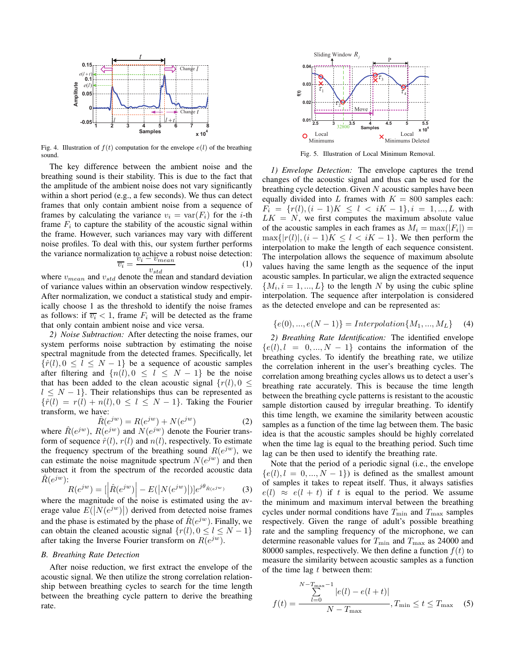

Fig. 4. Illustration of  $f(t)$  computation for the envelope  $e(l)$  of the breathing sound.

The key difference between the ambient noise and the breathing sound is their stability. This is due to the fact that the amplitude of the ambient noise does not vary significantly within a short period (e.g., a few seconds). We thus can detect frames that only contain ambient noise from a sequence of frames by calculating the variance  $v_i = \text{var}(F_i)$  for the *i*-th frame  $F_i$  to capture the stability of the acoustic signal within the frame. However, such variances may vary with different noise profiles. To deal with this, our system further performs the variance normalization to achieve a robust noise detection:  $\overline{v_i} = \frac{v_i - v_{mean}}{v_i}$  (1)

 $v_{std}$ where  $v_{mean}$  and  $v_{std}$  denote the mean and standard deviation of variance values within an observation window respectively. After normalization, we conduct a statistical study and empirically choose 1 as the threshold to identify the noise frames as follows: if  $\overline{v_i}$  < 1, frame  $F_i$  will be detected as the frame that only contain ambient noise and vice versa.

*2) Noise Subtraction:* After detecting the noise frames, our system performs noise subtraction by estimating the noise spectral magnitude from the detected frames. Specifically, let  $\{\hat{r}(l), 0 \leq l \leq N-1\}$  be a sequence of acoustic samples after filtering and  $\{n(l), 0 \le l \le N - 1\}$  be the noise that has been added to the clean acoustic signal  $\{r(l), 0 \leq \}$  $l \leq N - 1$ . Their relationships thus can be represented as  ${\hat{r}(l) = r(l) + n(l), 0 \le l \le N - 1}.$  Taking the Fourier transform, we have:

$$
\hat{R}(e^{jw}) = R(e^{jw}) + N(e^{jw})
$$
 (2)

where  $\hat{R}(e^{jw})$ ,  $R(e^{jw})$  and  $N(e^{jw})$  denote the Fourier transform of sequence  $\hat{r}(l)$ ,  $r(l)$  and  $n(l)$ , respectively. To estimate the frequency spectrum of the breathing sound  $R(e^{jw})$ , we can estimate the noise magnitude spectrum  $N(e^{jw})$  and then subtract it from the spectrum of the recorded acoustic data  $\hat{R}(e^{jw})$ :

where the magnitude of the noise is estimated using the 
$$
R(e^{jw}) = \left[ \left| \hat{R}(e^{jw}) \right| - E(|N(e^{jw})|) \right] e^{j\theta_{\hat{R}(e^{jw})}}
$$
 (3)

erage value  $E(|N(e^{jw})|)$  derived from detected noise frames and the phase is estimated by the phase of  $\hat{R}(e^{jw})$ . Finally, we can obtain the cleaned acoustic signal  $\{r(l), 0 \le l \le N - 1\}$ after taking the Inverse Fourier transform on  $R(e^{jw})$ .

### *B. Breathing Rate Detection*

After noise reduction, we first extract the envelope of the acoustic signal. We then utilize the strong correlation relationship between breathing cycles to search for the time length between the breathing cycle pattern to derive the breathing rate.



Fig. 5. Illustration of Local Minimum Removal.

*1) Envelope Detection:* The envelope captures the trend changes of the acoustic signal and thus can be used for the breathing cycle detection. Given  $N$  acoustic samples have been equally divided into L frames with  $K = 800$  samples each:  $F_i = \{r(l), (i-1)K \leq l \leq iK-1\}, i = 1, ..., L$  with  $LK = N$ , we first computes the maximum absolute value of the acoustic samples in each frames as  $M_i = \max(|F_i|) =$  $\max\{|r(l)|, (i-1)K \leq l \leq iK-1\}$ . We then perform the interpolation to make the length of each sequence consistent. The interpolation allows the sequence of maximum absolute values having the same length as the sequence of the input acoustic samples. In particular, we align the extracted sequence  ${M_i, i = 1, ..., L}$  to the length N by using the cubic spline interpolation. The sequence after interpolation is considered as the detected envelope and can be represented as:

$$
\{e(0),...,e(N-1)\} = Interpolation\{M_1,...,M_L\} \tag{4}
$$

*2) Breathing Rate Identification:* The identified envelope  ${e(l), l = 0, ..., N-1}$  contains the information of the breathing cycles. To identify the breathing rate, we utilize the correlation inherent in the user's breathing cycles. The correlation among breathing cycles allows us to detect a user's breathing rate accurately. This is because the time length between the breathing cycle patterns is resistant to the acoustic sample distortion caused by irregular breathing. To identify this time length, we examine the similarity between acoustic samples as a function of the time lag between them. The basic idea is that the acoustic samples should be highly correlated when the time lag is equal to the breathing period. Such time lag can be then used to identify the breathing rate.

Note that the period of a periodic signal (i.e., the envelope  ${e(l), l = 0, ..., N-1}$  is defined as the smallest amount of samples it takes to repeat itself. Thus, it always satisfies  $e(l) \approx e(l + t)$  if t is equal to the period. We assume the minimum and maximum interval between the breathing cycles under normal conditions have  $T_{\text{min}}$  and  $T_{\text{max}}$  samples respectively. Given the range of adult's possible breathing rate and the sampling frequency of the microphone, we can determine reasonable values for  $T_{\min}$  and  $T_{\max}$  as 24000 and 80000 samples, respectively. We then define a function  $f(t)$  to measure the similarity between acoustic samples as a function of the time lag  $t$  between them:

$$
f(t) = \frac{\sum_{l=0}^{N-T_{\text{max}}-1} |e(l) - e(l+t)|}{N-T_{\text{max}}}, T_{\text{min}} \le t \le T_{\text{max}} \quad (5)
$$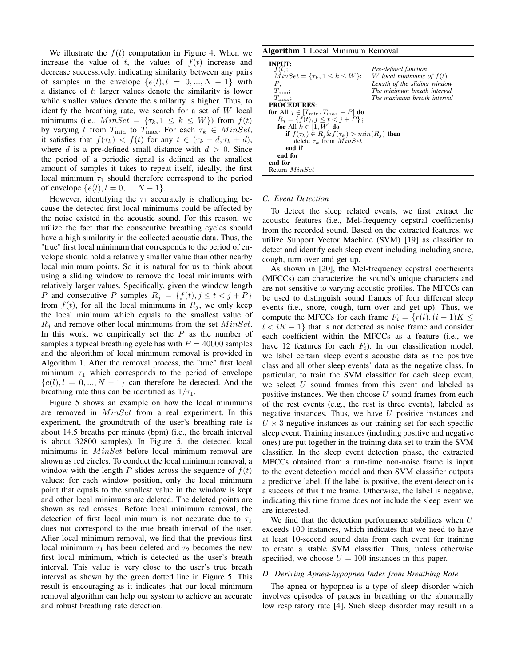We illustrate the  $f(t)$  computation in Figure 4. When we increase the value of t, the values of  $f(t)$  increase and decrease successively, indicating similarity between any pairs of samples in the envelope  $\{e(l), l = 0, ..., N - 1\}$  with a distance of t: larger values denote the similarity is lower while smaller values denote the similarity is higher. Thus, to identify the breathing rate, we search for a set of W local minimums (i.e.,  $MinSet = {\tau_k, 1 \le k \le W}$ ) from  $f(t)$ by varying t from  $T_{\min}$  to  $T_{\max}$ . For each  $\tau_k \in MinSet$ , it satisfies that  $f(\tau_k) < f(t)$  for any  $t \in (\tau_k - d, \tau_k + d)$ , where d is a pre-defined small distance with  $d > 0$ . Since the period of a periodic signal is defined as the smallest amount of samples it takes to repeat itself, ideally, the first local minimum  $\tau_1$  should therefore correspond to the period of envelope  $\{e(l), l = 0, ..., N - 1\}.$ 

However, identifying the  $\tau_1$  accurately is challenging because the detected first local minimums could be affected by the noise existed in the acoustic sound. For this reason, we utilize the fact that the consecutive breathing cycles should have a high similarity in the collected acoustic data. Thus, the "true" first local minimum that corresponds to the period of envelope should hold a relatively smaller value than other nearby local minimum points. So it is natural for us to think about using a sliding window to remove the local minimums with relatively larger values. Specifically, given the window length P and consecutive P samples  $R_j = \{f(t), j \le t < j + P\}$ from  $f(t)$ , for all the local minimums in  $R_j$ , we only keep the local minimum which equals to the smallest value of  $R_i$  and remove other local minimums from the set  $MinSet$ . In this work, we empirically set the  $P$  as the number of samples a typical breathing cycle has with  $P = 40000$  samples and the algorithm of local minimum removal is provided in Algorithm 1. After the removal process, the "true" first local minimum  $\tau_1$  which corresponds to the period of envelope  ${e(l), l = 0, ..., N-1}$  can therefore be detected. And the breathing rate thus can be identified as  $1/\tau_1$ .

Figure 5 shows an example on how the local minimums are removed in  $MinSet$  from a real experiment. In this experiment, the groundtruth of the user's breathing rate is about 14.5 breaths per minute (bpm) (i.e., the breath interval is about 32800 samples). In Figure 5, the detected local minimums in  $MinSet$  before local minimum removal are shown as red circles. To conduct the local minimum removal, a window with the length P slides across the sequence of  $f(t)$ values: for each window position, only the local minimum point that equals to the smallest value in the window is kept and other local minimums are deleted. The deleted points are shown as red crosses. Before local minimum removal, the detection of first local minimum is not accurate due to  $\tau_1$ does not correspond to the true breath interval of the user. After local minimum removal, we find that the previous first local minimum  $\tau_1$  has been deleted and  $\tau_2$  becomes the new first local minimum, which is detected as the user's breath interval. This value is very close to the user's true breath interval as shown by the green dotted line in Figure 5. This result is encouraging as it indicates that our local minimum removal algorithm can help our system to achieve an accurate and robust breathing rate detection.

**Algorithm 1** Local Minimum Removal

| INPUT:<br>$f(t)$ :<br>$MinSet = {\tau_k, 1 \leq k \leq W};$<br>P:<br>$T_{\min}$ | Pre-defined function<br>W local minimums of $f(t)$<br>Length of the sliding window<br>The minimum breath interval |
|---------------------------------------------------------------------------------|-------------------------------------------------------------------------------------------------------------------|
| $T_{\rm max}$ :                                                                 | The maximum breath interval                                                                                       |
| <b>PROCEDURES:</b>                                                              |                                                                                                                   |
| for All $j \in [T_{\min}, T_{\max} - P]$ do                                     |                                                                                                                   |
| $R_i = \{f(t), j \le t < j + P\};$                                              |                                                                                                                   |
| for All $k \in [1, W]$ do                                                       |                                                                                                                   |
| if $f(\tau_k) \in R_i \& f(\tau_k) > min(R_i)$ then                             |                                                                                                                   |
| delete $\tau_k$ from $MinSet$                                                   |                                                                                                                   |
| end if                                                                          |                                                                                                                   |
| end for                                                                         |                                                                                                                   |
| end for                                                                         |                                                                                                                   |
| Return <i>Min.Set</i>                                                           |                                                                                                                   |

#### *C. Event Detection*

To detect the sleep related events, we first extract the acoustic features (i.e., Mel-frequency cepstral coefficients) from the recorded sound. Based on the extracted features, we utilize Support Vector Machine (SVM) [19] as classifier to detect and identify each sleep event including including snore, cough, turn over and get up.

As shown in [20], the Mel-frequency cepstral coefficients (MFCCs) can characterize the sound's unique characters and are not sensitive to varying acoustic profiles. The MFCCs can be used to distinguish sound frames of four different sleep events (i.e., snore, cough, turn over and get up). Thus, we compute the MFCCs for each frame  $F_i = \{r(l), (i-1)K \leq$  $l < iK - 1$ } that is not detected as noise frame and consider each coefficient within the MFCCs as a feature (i.e., we have 12 features for each  $F_i$ ). In our classification model, we label certain sleep event's acoustic data as the positive class and all other sleep events' data as the negative class. In particular, to train the SVM classifier for each sleep event, we select U sound frames from this event and labeled as positive instances. We then choose  $U$  sound frames from each of the rest events (e.g., the rest is three events), labeled as negative instances. Thus, we have  $U$  positive instances and  $U \times 3$  negative instances as our training set for each specific sleep event. Training instances (including positive and negative ones) are put together in the training data set to train the SVM classifier. In the sleep event detection phase, the extracted MFCCs obtained from a run-time non-noise frame is input to the event detection model and then SVM classifier outputs a predictive label. If the label is positive, the event detection is a success of this time frame. Otherwise, the label is negative, indicating this time frame does not include the sleep event we are interested.

We find that the detection performance stabilizes when  $U$ exceeds 100 instances, which indicates that we need to have at least 10-second sound data from each event for training to create a stable SVM classifier. Thus, unless otherwise specified, we choose  $U = 100$  instances in this paper.

#### *D. Deriving Apnea-hypopnea Index from Breathing Rate*

The apnea or hypopnea is a type of sleep disorder which involves episodes of pauses in breathing or the abnormally low respiratory rate [4]. Such sleep disorder may result in a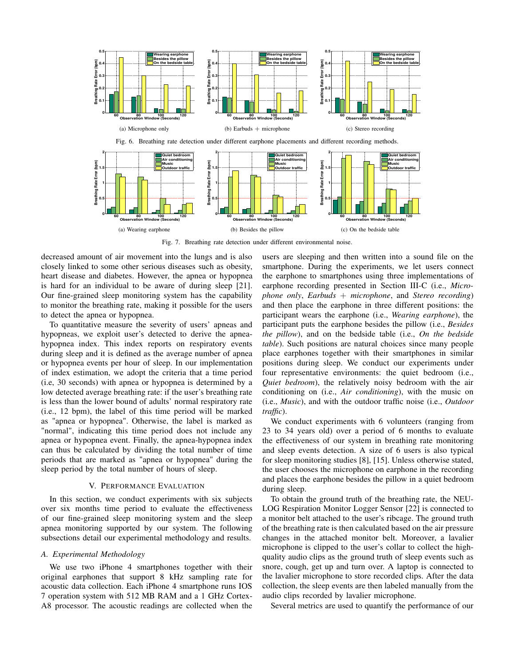

Fig. 7. Breathing rate detection under different environmental noise.

decreased amount of air movement into the lungs and is also closely linked to some other serious diseases such as obesity, heart disease and diabetes. However, the apnea or hypopnea is hard for an individual to be aware of during sleep [21]. Our fine-grained sleep monitoring system has the capability to monitor the breathing rate, making it possible for the users to detect the apnea or hypopnea.

To quantitative measure the severity of users' apneas and hypopneas, we exploit user's detected to derive the apneahypopnea index. This index reports on respiratory events during sleep and it is defined as the average number of apnea or hypopnea events per hour of sleep. In our implementation of index estimation, we adopt the criteria that a time period (i.e, 30 seconds) with apnea or hypopnea is determined by a low detected average breathing rate: if the user's breathing rate is less than the lower bound of adults' normal respiratory rate (i.e., 12 bpm), the label of this time period will be marked as "apnea or hypopnea". Otherwise, the label is marked as "normal", indicating this time period does not include any apnea or hypopnea event. Finally, the apnea-hypopnea index can thus be calculated by dividing the total number of time periods that are marked as "apnea or hypopnea" during the sleep period by the total number of hours of sleep.

## V. PERFORMANCE EVALUATION

In this section, we conduct experiments with six subjects over six months time period to evaluate the effectiveness of our fine-grained sleep monitoring system and the sleep apnea monitoring supported by our system. The following subsections detail our experimental methodology and results.

### *A. Experimental Methodology*

We use two iPhone 4 smartphones together with their original earphones that support 8 kHz sampling rate for acoustic data collection. Each iPhone 4 smartphone runs IOS 7 operation system with 512 MB RAM and a 1 GHz Cortex-A8 processor. The acoustic readings are collected when the

users are sleeping and then written into a sound file on the smartphone. During the experiments, we let users connect the earphone to smartphones using three implementations of earphone recording presented in Section III-C (i.e., *Microphone only*, *Earbuds* + *microphone*, and *Stereo recording*) and then place the earphone in three different positions: the participant wears the earphone (i.e., *Wearing earphone*), the participant puts the earphone besides the pillow (i.e., *Besides the pillow*), and on the bedside table (i.e., *On the bedside table*). Such positions are natural choices since many people place earphones together with their smartphones in similar positions during sleep. We conduct our experiments under four representative environments: the quiet bedroom (i.e., *Quiet bedroom*), the relatively noisy bedroom with the air conditioning on (i.e., *Air conditioning*), with the music on (i.e., *Music*), and with the outdoor traffic noise (i.e., *Outdoor traffic*).

We conduct experiments with 6 volunteers (ranging from 23 to 34 years old) over a period of 6 months to evaluate the effectiveness of our system in breathing rate monitoring and sleep events detection. A size of 6 users is also typical for sleep monitoring studies [8], [15]. Unless otherwise stated, the user chooses the microphone on earphone in the recording and places the earphone besides the pillow in a quiet bedroom during sleep.

To obtain the ground truth of the breathing rate, the NEU-LOG Respiration Monitor Logger Sensor [22] is connected to a monitor belt attached to the user's ribcage. The ground truth of the breathing rate is then calculated based on the air pressure changes in the attached monitor belt. Moreover, a lavalier microphone is clipped to the user's collar to collect the highquality audio clips as the ground truth of sleep events such as snore, cough, get up and turn over. A laptop is connected to the lavalier microphone to store recorded clips. After the data collection, the sleep events are then labeled manually from the audio clips recorded by lavalier microphone.

Several metrics are used to quantify the performance of our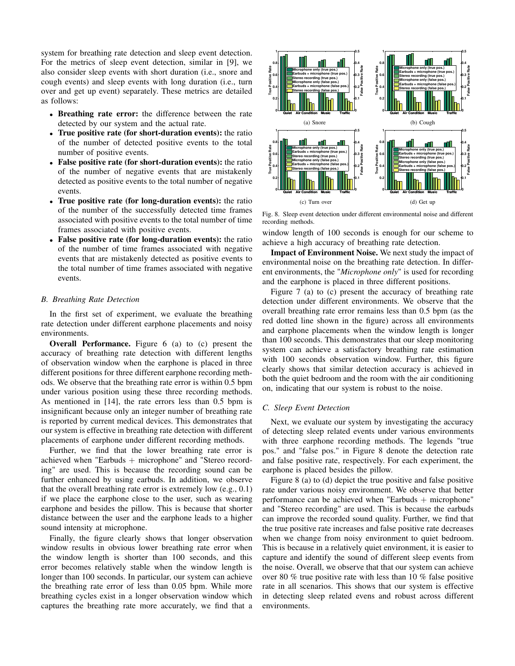system for breathing rate detection and sleep event detection. For the metrics of sleep event detection, similar in [9], we also consider sleep events with short duration (i.e., snore and cough events) and sleep events with long duration (i.e., turn over and get up event) separately. These metrics are detailed as follows:

- **Breathing rate error:** the difference between the rate detected by our system and the actual rate.
- **True positive rate (for short-duration events):** the ratio of the number of detected positive events to the total number of positive events.
- **False positive rate (for short-duration events):** the ratio of the number of negative events that are mistakenly detected as positive events to the total number of negative events.
- **True positive rate (for long-duration events):** the ratio of the number of the successfully detected time frames associated with positive events to the total number of time frames associated with positive events.
- **False positive rate (for long-duration events):** the ratio of the number of time frames associated with negative events that are mistakenly detected as positive events to the total number of time frames associated with negative events.

#### *B. Breathing Rate Detection*

In the first set of experiment, we evaluate the breathing rate detection under different earphone placements and noisy environments.

**Overall Performance.** Figure 6 (a) to (c) present the accuracy of breathing rate detection with different lengths of observation window when the earphone is placed in three different positions for three different earphone recording methods. We observe that the breathing rate error is within 0.5 bpm under various position using these three recording methods. As mentioned in [14], the rate errors less than 0.5 bpm is insignificant because only an integer number of breathing rate is reported by current medical devices. This demonstrates that our system is effective in breathing rate detection with different placements of earphone under different recording methods.

Further, we find that the lower breathing rate error is achieved when "Earbuds + microphone" and "Stereo recording" are used. This is because the recording sound can be further enhanced by using earbuds. In addition, we observe that the overall breathing rate error is extremely low (e.g., 0.1) if we place the earphone close to the user, such as wearing earphone and besides the pillow. This is because that shorter distance between the user and the earphone leads to a higher sound intensity at microphone.

Finally, the figure clearly shows that longer observation window results in obvious lower breathing rate error when the window length is shorter than 100 seconds, and this error becomes relatively stable when the window length is longer than 100 seconds. In particular, our system can achieve the breathing rate error of less than 0.05 bpm. While more breathing cycles exist in a longer observation window which captures the breathing rate more accurately, we find that a



Fig. 8. Sleep event detection under different environmental noise and different recording methods.

window length of 100 seconds is enough for our scheme to achieve a high accuracy of breathing rate detection.

**Impact of Environment Noise.** We next study the impact of environmental noise on the breathing rate detection. In different environments, the "*Microphone only*" is used for recording and the earphone is placed in three different positions.

Figure 7 (a) to (c) present the accuracy of breathing rate detection under different environments. We observe that the overall breathing rate error remains less than 0.5 bpm (as the red dotted line shown in the figure) across all environments and earphone placements when the window length is longer than 100 seconds. This demonstrates that our sleep monitoring system can achieve a satisfactory breathing rate estimation with 100 seconds observation window. Further, this figure clearly shows that similar detection accuracy is achieved in both the quiet bedroom and the room with the air conditioning on, indicating that our system is robust to the noise.

### *C. Sleep Event Detection*

Next, we evaluate our system by investigating the accuracy of detecting sleep related events under various environments with three earphone recording methods. The legends "true pos." and "false pos." in Figure 8 denote the detection rate and false positive rate, respectively. For each experiment, the earphone is placed besides the pillow.

Figure 8 (a) to (d) depict the true positive and false positive rate under various noisy environment. We observe that better performance can be achieved when "Earbuds  $+$  microphone" and "Stereo recording" are used. This is because the earbuds can improve the recorded sound quality. Further, we find that the true positive rate increases and false positive rate decreases when we change from noisy environment to quiet bedroom. This is because in a relatively quiet environment, it is easier to capture and identify the sound of different sleep events from the noise. Overall, we observe that that our system can achieve over 80 % true positive rate with less than 10 % false positive rate in all scenarios. This shows that our system is effective in detecting sleep related evens and robust across different environments.